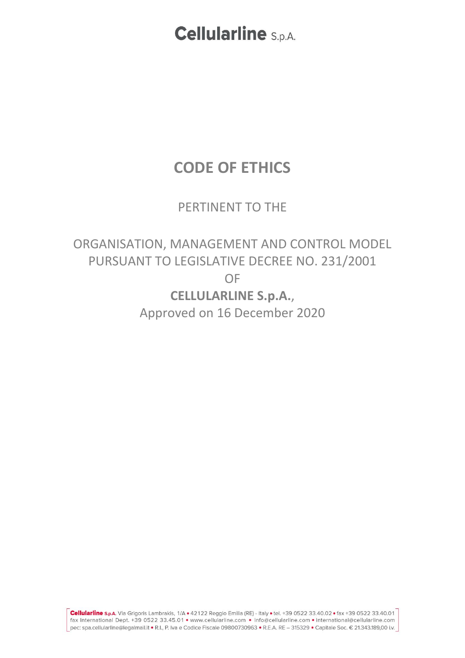### **CODE OF ETHICS**

### PERTINENT TO THE

ORGANISATION, MANAGEMENT AND CONTROL MODEL PURSUANT TO LEGISLATIVE DECREE NO. 231/2001 OF **CELLULARLINE S.p.A.**, Approved on 16 December 2020

Cellularline s.p.A. Via Grigoris Lambrakis, 1/A · 42122 Reggio Emilia (RE) - Italy · tel. +39 0522 33.40.02 · fax +39 0522 33.40.01 fax International Dept. +39 0522 33.45.01 • www.cellularline.com • info@cellularline.com • international@cellularline.com pec: spa.cellularline@legalmail.it . R.l., P. Iva e Codice Fiscale 09800730963 . R.E.A. RE - 315329 . Capitale Soc. € 21.343.189,00 i.v.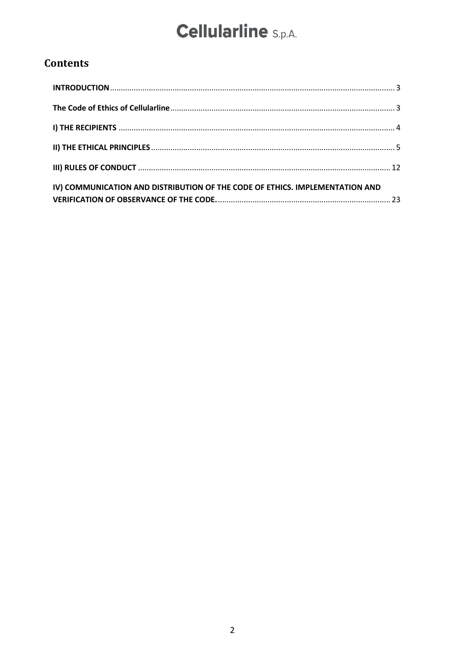### **Contents**

| IV) COMMUNICATION AND DISTRIBUTION OF THE CODE OF ETHICS. IMPLEMENTATION AND |  |
|------------------------------------------------------------------------------|--|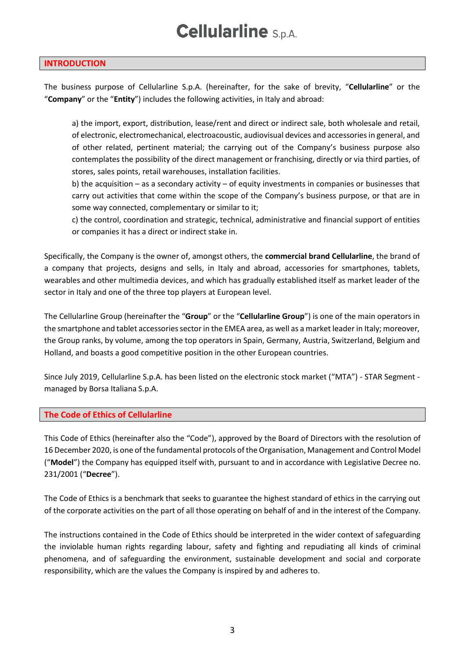#### <span id="page-2-0"></span>**INTRODUCTION**

The business purpose of Cellularline S.p.A. (hereinafter, for the sake of brevity, "**Cellularline**" or the "**Company**" or the "**Entity**") includes the following activities, in Italy and abroad:

a) the import, export, distribution, lease/rent and direct or indirect sale, both wholesale and retail, of electronic, electromechanical, electroacoustic, audiovisual devices and accessories in general, and of other related, pertinent material; the carrying out of the Company's business purpose also contemplates the possibility of the direct management or franchising, directly or via third parties, of stores, sales points, retail warehouses, installation facilities.

b) the acquisition – as a secondary activity – of equity investments in companies or businesses that carry out activities that come within the scope of the Company's business purpose, or that are in some way connected, complementary or similar to it;

c) the control, coordination and strategic, technical, administrative and financial support of entities or companies it has a direct or indirect stake in.

Specifically, the Company is the owner of, amongst others, the **commercial brand Cellularline**, the brand of a company that projects, designs and sells, in Italy and abroad, accessories for smartphones, tablets, wearables and other multimedia devices, and which has gradually established itself as market leader of the sector in Italy and one of the three top players at European level.

The Cellularline Group (hereinafter the "**Group**" or the "**Cellularline Group**") is one of the main operators in the smartphone and tablet accessories sector in the EMEA area, as well as a market leader in Italy; moreover, the Group ranks, by volume, among the top operators in Spain, Germany, Austria, Switzerland, Belgium and Holland, and boasts a good competitive position in the other European countries.

Since July 2019, Cellularline S.p.A. has been listed on the electronic stock market ("MTA") - STAR Segment managed by Borsa Italiana S.p.A.

#### <span id="page-2-1"></span>**The Code of Ethics of Cellularline**

This Code of Ethics (hereinafter also the "Code"), approved by the Board of Directors with the resolution of 16 December 2020, is one of the fundamental protocols of the Organisation, Management and Control Model ("**Model**") the Company has equipped itself with, pursuant to and in accordance with Legislative Decree no. 231/2001 ("**Decree**").

The Code of Ethics is a benchmark that seeks to guarantee the highest standard of ethics in the carrying out of the corporate activities on the part of all those operating on behalf of and in the interest of the Company.

The instructions contained in the Code of Ethics should be interpreted in the wider context of safeguarding the inviolable human rights regarding labour, safety and fighting and repudiating all kinds of criminal phenomena, and of safeguarding the environment, sustainable development and social and corporate responsibility, which are the values the Company is inspired by and adheres to.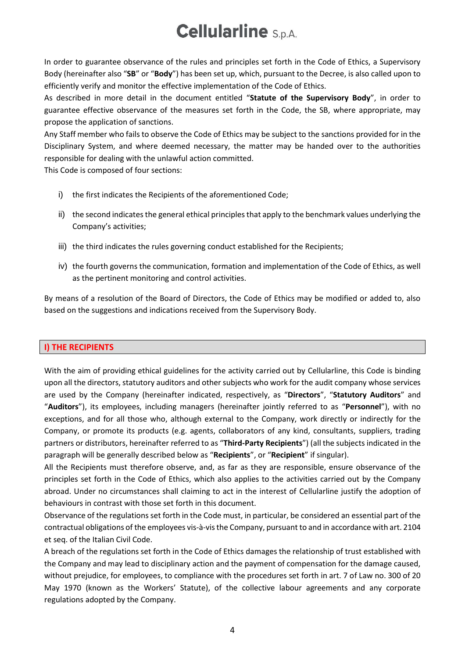In order to guarantee observance of the rules and principles set forth in the Code of Ethics, a Supervisory Body (hereinafter also "**SB**" or "**Body**") has been set up, which, pursuant to the Decree, is also called upon to efficiently verify and monitor the effective implementation of the Code of Ethics.

As described in more detail in the document entitled "**Statute of the Supervisory Body**", in order to guarantee effective observance of the measures set forth in the Code, the SB, where appropriate, may propose the application of sanctions.

Any Staff member who fails to observe the Code of Ethics may be subject to the sanctions provided for in the Disciplinary System, and where deemed necessary, the matter may be handed over to the authorities responsible for dealing with the unlawful action committed.

This Code is composed of four sections:

- i) the first indicates the Recipients of the aforementioned Code;
- ii) the second indicates the general ethical principles that apply to the benchmark values underlying the Company's activities;
- iii) the third indicates the rules governing conduct established for the Recipients;
- iv) the fourth governs the communication, formation and implementation of the Code of Ethics, as well as the pertinent monitoring and control activities.

By means of a resolution of the Board of Directors, the Code of Ethics may be modified or added to, also based on the suggestions and indications received from the Supervisory Body.

#### <span id="page-3-0"></span>**I) THE RECIPIENTS**

With the aim of providing ethical guidelines for the activity carried out by Cellularline, this Code is binding upon all the directors, statutory auditors and other subjects who work for the audit company whose services are used by the Company (hereinafter indicated, respectively, as "**Directors**", "**Statutory Auditors**" and "**Auditors**"), its employees, including managers (hereinafter jointly referred to as "**Personnel**"), with no exceptions, and for all those who, although external to the Company, work directly or indirectly for the Company, or promote its products (e.g. agents, collaborators of any kind, consultants, suppliers, trading partners or distributors, hereinafter referred to as "**Third-Party Recipients**") (all the subjects indicated in the paragraph will be generally described below as "**Recipients**", or "**Recipient**" if singular).

All the Recipients must therefore observe, and, as far as they are responsible, ensure observance of the principles set forth in the Code of Ethics, which also applies to the activities carried out by the Company abroad. Under no circumstances shall claiming to act in the interest of Cellularline justify the adoption of behaviours in contrast with those set forth in this document.

Observance of the regulations set forth in the Code must, in particular, be considered an essential part of the contractual obligations of the employees vis-à-vis the Company, pursuant to and in accordance with art. 2104 et seq. of the Italian Civil Code.

A breach of the regulations set forth in the Code of Ethics damages the relationship of trust established with the Company and may lead to disciplinary action and the payment of compensation for the damage caused, without prejudice, for employees, to compliance with the procedures set forth in art. 7 of Law no. 300 of 20 May 1970 (known as the Workers' Statute), of the collective labour agreements and any corporate regulations adopted by the Company.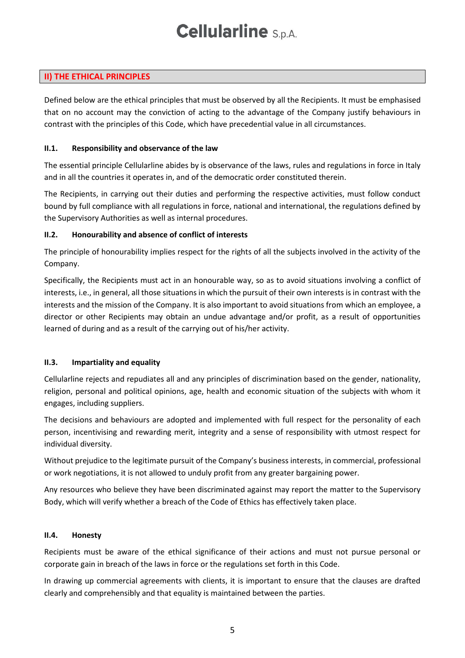### <span id="page-4-0"></span>**II) THE ETHICAL PRINCIPLES**

Defined below are the ethical principles that must be observed by all the Recipients. It must be emphasised that on no account may the conviction of acting to the advantage of the Company justify behaviours in contrast with the principles of this Code, which have precedential value in all circumstances.

#### **II.1. Responsibility and observance of the law**

The essential principle Cellularline abides by is observance of the laws, rules and regulations in force in Italy and in all the countries it operates in, and of the democratic order constituted therein.

The Recipients, in carrying out their duties and performing the respective activities, must follow conduct bound by full compliance with all regulations in force, national and international, the regulations defined by the Supervisory Authorities as well as internal procedures.

#### **II.2. Honourability and absence of conflict of interests**

The principle of honourability implies respect for the rights of all the subjects involved in the activity of the Company.

Specifically, the Recipients must act in an honourable way, so as to avoid situations involving a conflict of interests, i.e., in general, all those situations in which the pursuit of their own interests is in contrast with the interests and the mission of the Company. It is also important to avoid situations from which an employee, a director or other Recipients may obtain an undue advantage and/or profit, as a result of opportunities learned of during and as a result of the carrying out of his/her activity.

#### **II.3. Impartiality and equality**

Cellularline rejects and repudiates all and any principles of discrimination based on the gender, nationality, religion, personal and political opinions, age, health and economic situation of the subjects with whom it engages, including suppliers.

The decisions and behaviours are adopted and implemented with full respect for the personality of each person, incentivising and rewarding merit, integrity and a sense of responsibility with utmost respect for individual diversity.

Without prejudice to the legitimate pursuit of the Company's business interests, in commercial, professional or work negotiations, it is not allowed to unduly profit from any greater bargaining power.

Any resources who believe they have been discriminated against may report the matter to the Supervisory Body, which will verify whether a breach of the Code of Ethics has effectively taken place.

#### **II.4. Honesty**

Recipients must be aware of the ethical significance of their actions and must not pursue personal or corporate gain in breach of the laws in force or the regulations set forth in this Code.

In drawing up commercial agreements with clients, it is important to ensure that the clauses are drafted clearly and comprehensibly and that equality is maintained between the parties.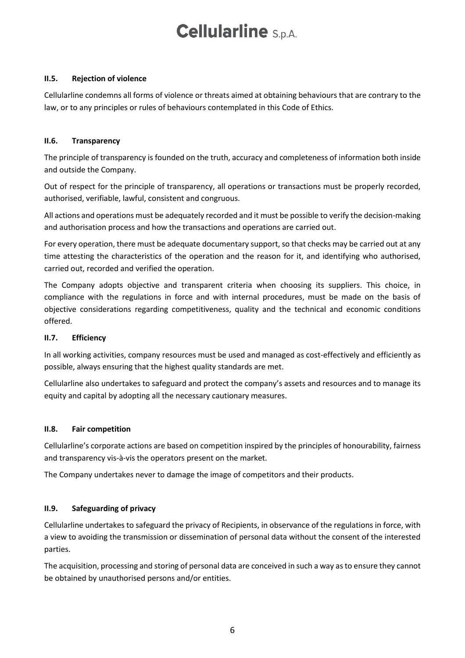#### **II.5. Rejection of violence**

Cellularline condemns all forms of violence or threats aimed at obtaining behaviours that are contrary to the law, or to any principles or rules of behaviours contemplated in this Code of Ethics.

#### **II.6. Transparency**

The principle of transparency is founded on the truth, accuracy and completeness of information both inside and outside the Company.

Out of respect for the principle of transparency, all operations or transactions must be properly recorded, authorised, verifiable, lawful, consistent and congruous.

All actions and operations must be adequately recorded and it must be possible to verify the decision-making and authorisation process and how the transactions and operations are carried out.

For every operation, there must be adequate documentary support, so that checks may be carried out at any time attesting the characteristics of the operation and the reason for it, and identifying who authorised, carried out, recorded and verified the operation.

The Company adopts objective and transparent criteria when choosing its suppliers. This choice, in compliance with the regulations in force and with internal procedures, must be made on the basis of objective considerations regarding competitiveness, quality and the technical and economic conditions offered.

#### **II.7. Efficiency**

In all working activities, company resources must be used and managed as cost-effectively and efficiently as possible, always ensuring that the highest quality standards are met.

Cellularline also undertakes to safeguard and protect the company's assets and resources and to manage its equity and capital by adopting all the necessary cautionary measures.

#### **II.8. Fair competition**

Cellularline's corporate actions are based on competition inspired by the principles of honourability, fairness and transparency vis-à-vis the operators present on the market.

The Company undertakes never to damage the image of competitors and their products.

#### **II.9. Safeguarding of privacy**

Cellularline undertakes to safeguard the privacy of Recipients, in observance of the regulations in force, with a view to avoiding the transmission or dissemination of personal data without the consent of the interested parties.

The acquisition, processing and storing of personal data are conceived in such a way as to ensure they cannot be obtained by unauthorised persons and/or entities.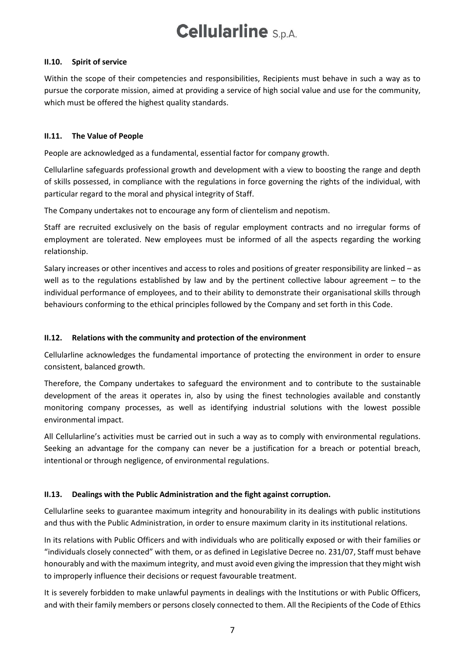#### **II.10. Spirit of service**

Within the scope of their competencies and responsibilities, Recipients must behave in such a way as to pursue the corporate mission, aimed at providing a service of high social value and use for the community, which must be offered the highest quality standards.

#### **II.11. The Value of People**

People are acknowledged as a fundamental, essential factor for company growth.

Cellularline safeguards professional growth and development with a view to boosting the range and depth of skills possessed, in compliance with the regulations in force governing the rights of the individual, with particular regard to the moral and physical integrity of Staff.

The Company undertakes not to encourage any form of clientelism and nepotism.

Staff are recruited exclusively on the basis of regular employment contracts and no irregular forms of employment are tolerated. New employees must be informed of all the aspects regarding the working relationship.

Salary increases or other incentives and access to roles and positions of greater responsibility are linked – as well as to the regulations established by law and by the pertinent collective labour agreement – to the individual performance of employees, and to their ability to demonstrate their organisational skills through behaviours conforming to the ethical principles followed by the Company and set forth in this Code.

#### **II.12. Relations with the community and protection of the environment**

Cellularline acknowledges the fundamental importance of protecting the environment in order to ensure consistent, balanced growth.

Therefore, the Company undertakes to safeguard the environment and to contribute to the sustainable development of the areas it operates in, also by using the finest technologies available and constantly monitoring company processes, as well as identifying industrial solutions with the lowest possible environmental impact.

All Cellularline's activities must be carried out in such a way as to comply with environmental regulations. Seeking an advantage for the company can never be a justification for a breach or potential breach, intentional or through negligence, of environmental regulations.

#### **II.13. Dealings with the Public Administration and the fight against corruption.**

Cellularline seeks to guarantee maximum integrity and honourability in its dealings with public institutions and thus with the Public Administration, in order to ensure maximum clarity in its institutional relations.

In its relations with Public Officers and with individuals who are politically exposed or with their families or "individuals closely connected" with them, or as defined in Legislative Decree no. 231/07, Staff must behave honourably and with the maximum integrity, and must avoid even giving the impression that they might wish to improperly influence their decisions or request favourable treatment.

It is severely forbidden to make unlawful payments in dealings with the Institutions or with Public Officers, and with their family members or persons closely connected to them. All the Recipients of the Code of Ethics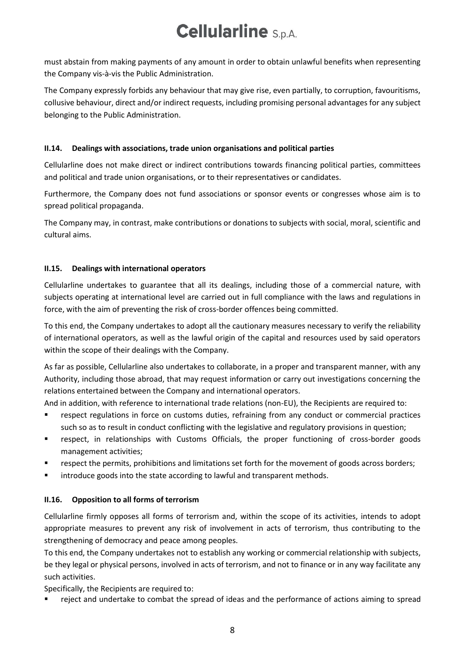must abstain from making payments of any amount in order to obtain unlawful benefits when representing the Company vis-à-vis the Public Administration.

The Company expressly forbids any behaviour that may give rise, even partially, to corruption, favouritisms, collusive behaviour, direct and/or indirect requests, including promising personal advantages for any subject belonging to the Public Administration.

#### **II.14. Dealings with associations, trade union organisations and political parties**

Cellularline does not make direct or indirect contributions towards financing political parties, committees and political and trade union organisations, or to their representatives or candidates.

Furthermore, the Company does not fund associations or sponsor events or congresses whose aim is to spread political propaganda.

The Company may, in contrast, make contributions or donations to subjects with social, moral, scientific and cultural aims.

### **II.15. Dealings with international operators**

Cellularline undertakes to guarantee that all its dealings, including those of a commercial nature, with subjects operating at international level are carried out in full compliance with the laws and regulations in force, with the aim of preventing the risk of cross-border offences being committed.

To this end, the Company undertakes to adopt all the cautionary measures necessary to verify the reliability of international operators, as well as the lawful origin of the capital and resources used by said operators within the scope of their dealings with the Company.

As far as possible, Cellularline also undertakes to collaborate, in a proper and transparent manner, with any Authority, including those abroad, that may request information or carry out investigations concerning the relations entertained between the Company and international operators.

And in addition, with reference to international trade relations (non-EU), the Recipients are required to:

- respect regulations in force on customs duties, refraining from any conduct or commercial practices such so as to result in conduct conflicting with the legislative and regulatory provisions in question;
- respect, in relationships with Customs Officials, the proper functioning of cross-border goods management activities;
- respect the permits, prohibitions and limitations set forth for the movement of goods across borders;
- introduce goods into the state according to lawful and transparent methods.

### **II.16. Opposition to all forms of terrorism**

Cellularline firmly opposes all forms of terrorism and, within the scope of its activities, intends to adopt appropriate measures to prevent any risk of involvement in acts of terrorism, thus contributing to the strengthening of democracy and peace among peoples.

To this end, the Company undertakes not to establish any working or commercial relationship with subjects, be they legal or physical persons, involved in acts of terrorism, and not to finance or in any way facilitate any such activities.

Specifically, the Recipients are required to:

reject and undertake to combat the spread of ideas and the performance of actions aiming to spread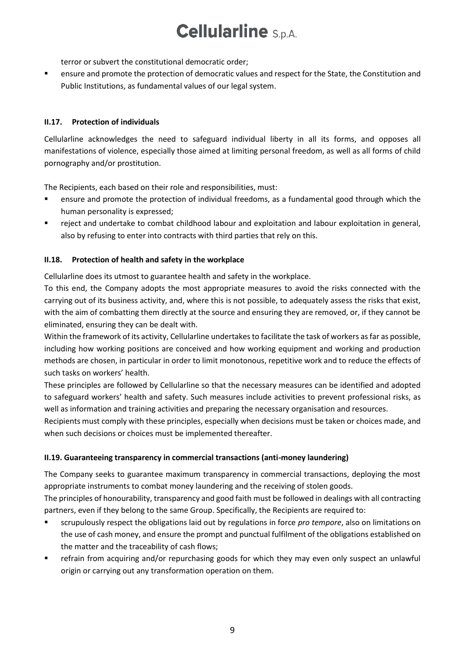terror or subvert the constitutional democratic order;

▪ ensure and promote the protection of democratic values and respect for the State, the Constitution and Public Institutions, as fundamental values of our legal system.

#### **II.17. Protection of individuals**

Cellularline acknowledges the need to safeguard individual liberty in all its forms, and opposes all manifestations of violence, especially those aimed at limiting personal freedom, as well as all forms of child pornography and/or prostitution.

The Recipients, each based on their role and responsibilities, must:

- ensure and promote the protection of individual freedoms, as a fundamental good through which the human personality is expressed;
- reject and undertake to combat childhood labour and exploitation and labour exploitation in general, also by refusing to enter into contracts with third parties that rely on this.

#### **II.18. Protection of health and safety in the workplace**

Cellularline does its utmost to guarantee health and safety in the workplace.

To this end, the Company adopts the most appropriate measures to avoid the risks connected with the carrying out of its business activity, and, where this is not possible, to adequately assess the risks that exist, with the aim of combatting them directly at the source and ensuring they are removed, or, if they cannot be eliminated, ensuring they can be dealt with.

Within the framework of its activity, Cellularline undertakes to facilitate the task of workers as far as possible, including how working positions are conceived and how working equipment and working and production methods are chosen, in particular in order to limit monotonous, repetitive work and to reduce the effects of such tasks on workers' health.

These principles are followed by Cellularline so that the necessary measures can be identified and adopted to safeguard workers' health and safety. Such measures include activities to prevent professional risks, as well as information and training activities and preparing the necessary organisation and resources.

Recipients must comply with these principles, especially when decisions must be taken or choices made, and when such decisions or choices must be implemented thereafter.

#### **II.19. Guaranteeing transparency in commercial transactions (anti-money laundering)**

The Company seeks to guarantee maximum transparency in commercial transactions, deploying the most appropriate instruments to combat money laundering and the receiving of stolen goods.

The principles of honourability, transparency and good faith must be followed in dealings with all contracting partners, even if they belong to the same Group. Specifically, the Recipients are required to:

- scrupulously respect the obligations laid out by regulations in force *pro tempore*, also on limitations on the use of cash money, and ensure the prompt and punctual fulfilment of the obligations established on the matter and the traceability of cash flows;
- refrain from acquiring and/or repurchasing goods for which they may even only suspect an unlawful origin or carrying out any transformation operation on them.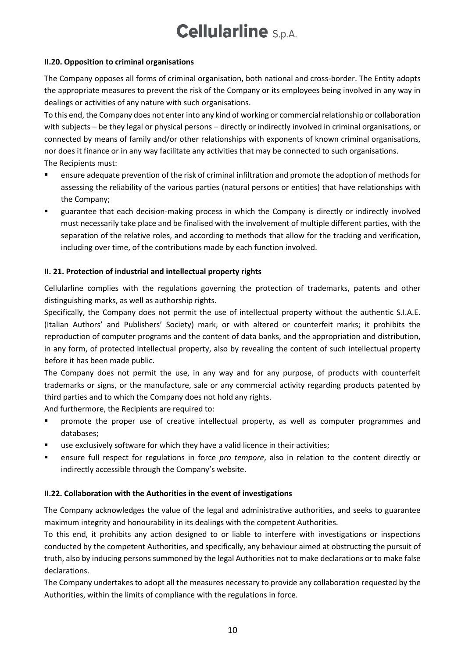#### **II.20. Opposition to criminal organisations**

The Company opposes all forms of criminal organisation, both national and cross-border. The Entity adopts the appropriate measures to prevent the risk of the Company or its employees being involved in any way in dealings or activities of any nature with such organisations.

To this end, the Company does not enter into any kind of working or commercial relationship or collaboration with subjects – be they legal or physical persons – directly or indirectly involved in criminal organisations, or connected by means of family and/or other relationships with exponents of known criminal organisations, nor does it finance or in any way facilitate any activities that may be connected to such organisations. The Recipients must:

- ensure adequate prevention of the risk of criminal infiltration and promote the adoption of methods for assessing the reliability of the various parties (natural persons or entities) that have relationships with the Company;
- guarantee that each decision-making process in which the Company is directly or indirectly involved must necessarily take place and be finalised with the involvement of multiple different parties, with the separation of the relative roles, and according to methods that allow for the tracking and verification, including over time, of the contributions made by each function involved.

### **II. 21. Protection of industrial and intellectual property rights**

Cellularline complies with the regulations governing the protection of trademarks, patents and other distinguishing marks, as well as authorship rights.

Specifically, the Company does not permit the use of intellectual property without the authentic S.I.A.E. (Italian Authors' and Publishers' Society) mark, or with altered or counterfeit marks; it prohibits the reproduction of computer programs and the content of data banks, and the appropriation and distribution, in any form, of protected intellectual property, also by revealing the content of such intellectual property before it has been made public.

The Company does not permit the use, in any way and for any purpose, of products with counterfeit trademarks or signs, or the manufacture, sale or any commercial activity regarding products patented by third parties and to which the Company does not hold any rights.

And furthermore, the Recipients are required to:

- promote the proper use of creative intellectual property, as well as computer programmes and databases;
- use exclusively software for which they have a valid licence in their activities;
- ensure full respect for regulations in force *pro tempore*, also in relation to the content directly or indirectly accessible through the Company's website.

#### **II.22. Collaboration with the Authorities in the event of investigations**

The Company acknowledges the value of the legal and administrative authorities, and seeks to guarantee maximum integrity and honourability in its dealings with the competent Authorities.

To this end, it prohibits any action designed to or liable to interfere with investigations or inspections conducted by the competent Authorities, and specifically, any behaviour aimed at obstructing the pursuit of truth, also by inducing persons summoned by the legal Authorities not to make declarations or to make false declarations.

The Company undertakes to adopt all the measures necessary to provide any collaboration requested by the Authorities, within the limits of compliance with the regulations in force.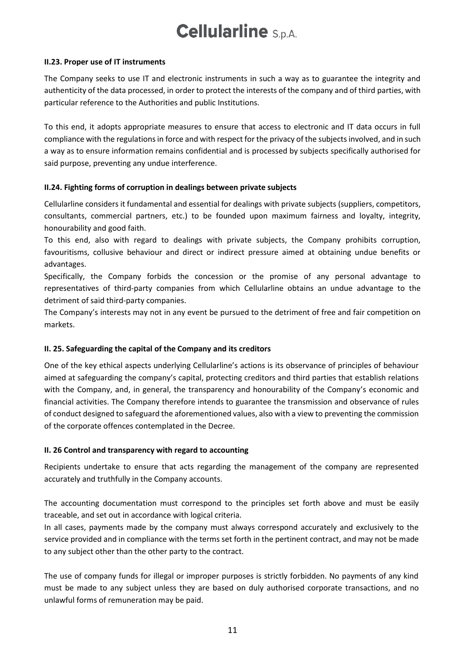#### **II.23. Proper use of IT instruments**

The Company seeks to use IT and electronic instruments in such a way as to guarantee the integrity and authenticity of the data processed, in order to protect the interests of the company and of third parties, with particular reference to the Authorities and public Institutions.

To this end, it adopts appropriate measures to ensure that access to electronic and IT data occurs in full compliance with the regulations in force and with respect for the privacy of the subjects involved, and in such a way as to ensure information remains confidential and is processed by subjects specifically authorised for said purpose, preventing any undue interference.

#### **II.24. Fighting forms of corruption in dealings between private subjects**

Cellularline considers it fundamental and essential for dealings with private subjects (suppliers, competitors, consultants, commercial partners, etc.) to be founded upon maximum fairness and loyalty, integrity, honourability and good faith.

To this end, also with regard to dealings with private subjects, the Company prohibits corruption, favouritisms, collusive behaviour and direct or indirect pressure aimed at obtaining undue benefits or advantages.

Specifically, the Company forbids the concession or the promise of any personal advantage to representatives of third-party companies from which Cellularline obtains an undue advantage to the detriment of said third-party companies.

The Company's interests may not in any event be pursued to the detriment of free and fair competition on markets.

#### **II. 25. Safeguarding the capital of the Company and its creditors**

One of the key ethical aspects underlying Cellularline's actions is its observance of principles of behaviour aimed at safeguarding the company's capital, protecting creditors and third parties that establish relations with the Company, and, in general, the transparency and honourability of the Company's economic and financial activities. The Company therefore intends to guarantee the transmission and observance of rules of conduct designed to safeguard the aforementioned values, also with a view to preventing the commission of the corporate offences contemplated in the Decree.

#### **II. 26 Control and transparency with regard to accounting**

Recipients undertake to ensure that acts regarding the management of the company are represented accurately and truthfully in the Company accounts.

The accounting documentation must correspond to the principles set forth above and must be easily traceable, and set out in accordance with logical criteria.

In all cases, payments made by the company must always correspond accurately and exclusively to the service provided and in compliance with the terms set forth in the pertinent contract, and may not be made to any subject other than the other party to the contract.

The use of company funds for illegal or improper purposes is strictly forbidden. No payments of any kind must be made to any subject unless they are based on duly authorised corporate transactions, and no unlawful forms of remuneration may be paid.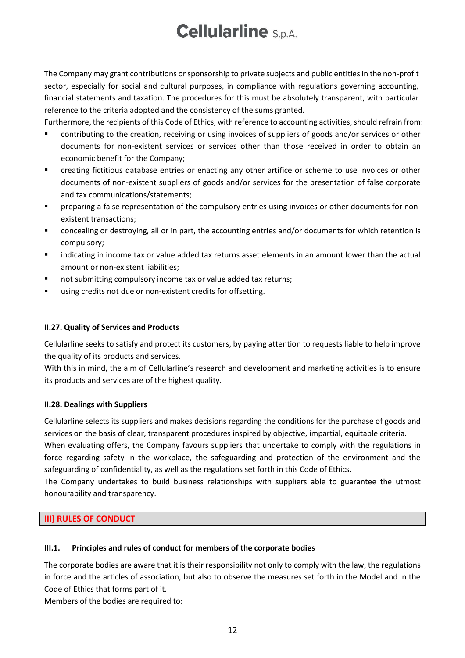The Company may grant contributions or sponsorship to private subjects and public entities in the non-profit sector, especially for social and cultural purposes, in compliance with regulations governing accounting, financial statements and taxation. The procedures for this must be absolutely transparent, with particular reference to the criteria adopted and the consistency of the sums granted.

Furthermore, the recipients of this Code of Ethics, with reference to accounting activities, should refrain from:

- contributing to the creation, receiving or using invoices of suppliers of goods and/or services or other documents for non-existent services or services other than those received in order to obtain an economic benefit for the Company;
- creating fictitious database entries or enacting any other artifice or scheme to use invoices or other documents of non-existent suppliers of goods and/or services for the presentation of false corporate and tax communications/statements;
- preparing a false representation of the compulsory entries using invoices or other documents for nonexistent transactions;
- concealing or destroying, all or in part, the accounting entries and/or documents for which retention is compulsory;
- indicating in income tax or value added tax returns asset elements in an amount lower than the actual amount or non-existent liabilities;
- not submitting compulsory income tax or value added tax returns;
- using credits not due or non-existent credits for offsetting.

#### **II.27. Quality of Services and Products**

Cellularline seeks to satisfy and protect its customers, by paying attention to requests liable to help improve the quality of its products and services.

With this in mind, the aim of Cellularline's research and development and marketing activities is to ensure its products and services are of the highest quality.

#### **II.28. Dealings with Suppliers**

Cellularline selects its suppliers and makes decisions regarding the conditions for the purchase of goods and services on the basis of clear, transparent procedures inspired by objective, impartial, equitable criteria.

When evaluating offers, the Company favours suppliers that undertake to comply with the regulations in force regarding safety in the workplace, the safeguarding and protection of the environment and the safeguarding of confidentiality, as well as the regulations set forth in this Code of Ethics.

The Company undertakes to build business relationships with suppliers able to guarantee the utmost honourability and transparency.

#### <span id="page-11-0"></span>**III) RULES OF CONDUCT**

#### **III.1. Principles and rules of conduct for members of the corporate bodies**

The corporate bodies are aware that it is their responsibility not only to comply with the law, the regulations in force and the articles of association, but also to observe the measures set forth in the Model and in the Code of Ethics that forms part of it.

Members of the bodies are required to: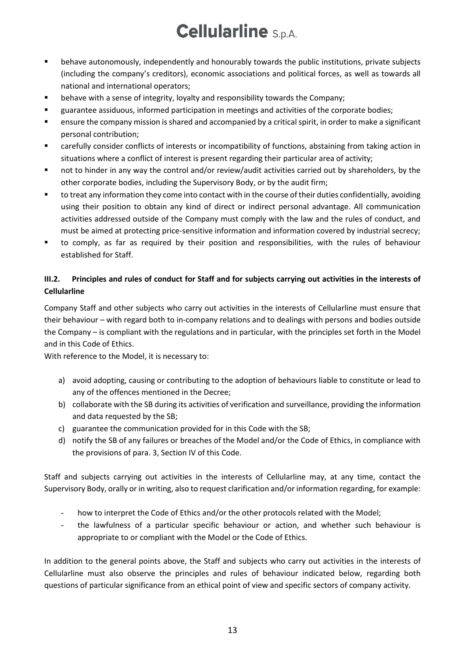- behave autonomously, independently and honourably towards the public institutions, private subjects (including the company's creditors), economic associations and political forces, as well as towards all national and international operators;
- behave with a sense of integrity, loyalty and responsibility towards the Company;
- guarantee assiduous, informed participation in meetings and activities of the corporate bodies;
- ensure the company mission is shared and accompanied by a critical spirit, in order to make a significant personal contribution;
- carefully consider conflicts of interests or incompatibility of functions, abstaining from taking action in situations where a conflict of interest is present regarding their particular area of activity;
- not to hinder in any way the control and/or review/audit activities carried out by shareholders, by the other corporate bodies, including the Supervisory Body, or by the audit firm;
- to treat any information they come into contact with in the course of their duties confidentially, avoiding using their position to obtain any kind of direct or indirect personal advantage. All communication activities addressed outside of the Company must comply with the law and the rules of conduct, and must be aimed at protecting price-sensitive information and information covered by industrial secrecy;
- to comply, as far as required by their position and responsibilities, with the rules of behaviour established for Staff.

### **III.2. Principles and rules of conduct for Staff and for subjects carrying out activities in the interests of Cellularline**

Company Staff and other subjects who carry out activities in the interests of Cellularline must ensure that their behaviour – with regard both to in-company relations and to dealings with persons and bodies outside the Company – is compliant with the regulations and in particular, with the principles set forth in the Model and in this Code of Ethics.

With reference to the Model, it is necessary to:

- a) avoid adopting, causing or contributing to the adoption of behaviours liable to constitute or lead to any of the offences mentioned in the Decree;
- b) collaborate with the SB during its activities of verification and surveillance, providing the information and data requested by the SB;
- c) guarantee the communication provided for in this Code with the SB;
- d) notify the SB of any failures or breaches of the Model and/or the Code of Ethics, in compliance with the provisions of para. 3, Section IV of this Code.

Staff and subjects carrying out activities in the interests of Cellularline may, at any time, contact the Supervisory Body, orally or in writing, also to request clarification and/or information regarding, for example:

- how to interpret the Code of Ethics and/or the other protocols related with the Model;
- the lawfulness of a particular specific behaviour or action, and whether such behaviour is appropriate to or compliant with the Model or the Code of Ethics.

In addition to the general points above, the Staff and subjects who carry out activities in the interests of Cellularline must also observe the principles and rules of behaviour indicated below, regarding both questions of particular significance from an ethical point of view and specific sectors of company activity.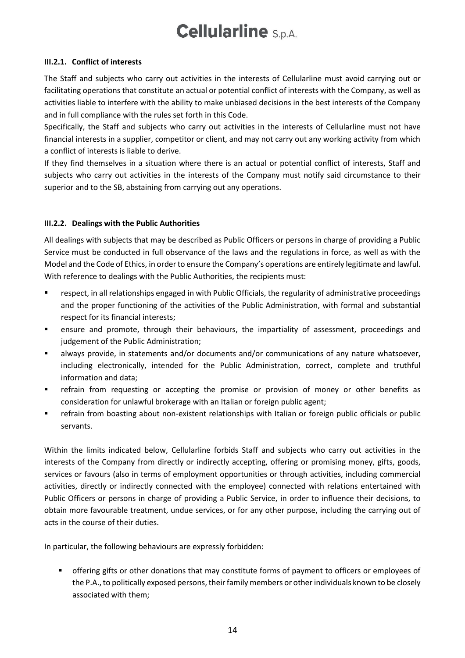#### **III.2.1. Conflict of interests**

The Staff and subjects who carry out activities in the interests of Cellularline must avoid carrying out or facilitating operations that constitute an actual or potential conflict of interests with the Company, as well as activities liable to interfere with the ability to make unbiased decisions in the best interests of the Company and in full compliance with the rules set forth in this Code.

Specifically, the Staff and subjects who carry out activities in the interests of Cellularline must not have financial interests in a supplier, competitor or client, and may not carry out any working activity from which a conflict of interests is liable to derive.

If they find themselves in a situation where there is an actual or potential conflict of interests, Staff and subjects who carry out activities in the interests of the Company must notify said circumstance to their superior and to the SB, abstaining from carrying out any operations.

#### **III.2.2. Dealings with the Public Authorities**

All dealings with subjects that may be described as Public Officers or persons in charge of providing a Public Service must be conducted in full observance of the laws and the regulations in force, as well as with the Model and the Code of Ethics, in order to ensure the Company's operations are entirely legitimate and lawful. With reference to dealings with the Public Authorities, the recipients must:

- respect, in all relationships engaged in with Public Officials, the regularity of administrative proceedings and the proper functioning of the activities of the Public Administration, with formal and substantial respect for its financial interests;
- ensure and promote, through their behaviours, the impartiality of assessment, proceedings and judgement of the Public Administration;
- always provide, in statements and/or documents and/or communications of any nature whatsoever, including electronically, intended for the Public Administration, correct, complete and truthful information and data;
- **•** refrain from requesting or accepting the promise or provision of money or other benefits as consideration for unlawful brokerage with an Italian or foreign public agent;
- **•** refrain from boasting about non-existent relationships with Italian or foreign public officials or public servants.

Within the limits indicated below, Cellularline forbids Staff and subjects who carry out activities in the interests of the Company from directly or indirectly accepting, offering or promising money, gifts, goods, services or favours (also in terms of employment opportunities or through activities, including commercial activities, directly or indirectly connected with the employee) connected with relations entertained with Public Officers or persons in charge of providing a Public Service, in order to influence their decisions, to obtain more favourable treatment, undue services, or for any other purpose, including the carrying out of acts in the course of their duties.

In particular, the following behaviours are expressly forbidden:

**•** offering gifts or other donations that may constitute forms of payment to officers or employees of the P.A., to politically exposed persons, their family members or other individuals known to be closely associated with them;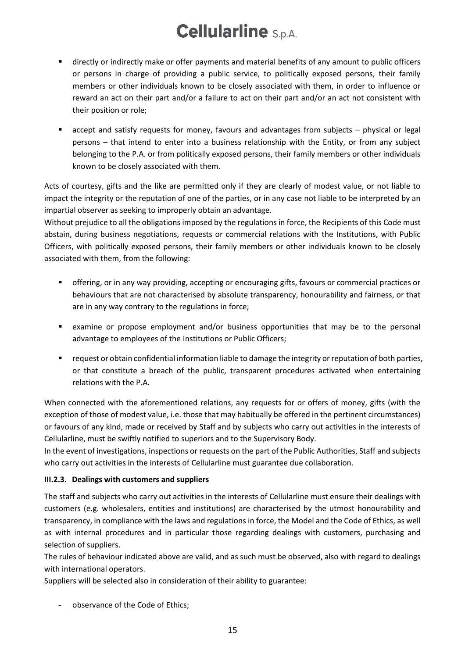- directly or indirectly make or offer payments and material benefits of any amount to public officers or persons in charge of providing a public service, to politically exposed persons, their family members or other individuals known to be closely associated with them, in order to influence or reward an act on their part and/or a failure to act on their part and/or an act not consistent with their position or role;
- accept and satisfy requests for money, favours and advantages from subjects physical or legal persons – that intend to enter into a business relationship with the Entity, or from any subject belonging to the P.A. or from politically exposed persons, their family members or other individuals known to be closely associated with them.

Acts of courtesy, gifts and the like are permitted only if they are clearly of modest value, or not liable to impact the integrity or the reputation of one of the parties, or in any case not liable to be interpreted by an impartial observer as seeking to improperly obtain an advantage.

Without prejudice to all the obligations imposed by the regulations in force, the Recipients of this Code must abstain, during business negotiations, requests or commercial relations with the Institutions, with Public Officers, with politically exposed persons, their family members or other individuals known to be closely associated with them, from the following:

- **•** offering, or in any way providing, accepting or encouraging gifts, favours or commercial practices or behaviours that are not characterised by absolute transparency, honourability and fairness, or that are in any way contrary to the regulations in force;
- examine or propose employment and/or business opportunities that may be to the personal advantage to employees of the Institutions or Public Officers;
- request or obtain confidential information liable to damage the integrity or reputation of both parties, or that constitute a breach of the public, transparent procedures activated when entertaining relations with the P.A.

When connected with the aforementioned relations, any requests for or offers of money, gifts (with the exception of those of modest value, i.e. those that may habitually be offered in the pertinent circumstances) or favours of any kind, made or received by Staff and by subjects who carry out activities in the interests of Cellularline, must be swiftly notified to superiors and to the Supervisory Body.

In the event of investigations, inspections or requests on the part of the Public Authorities, Staff and subjects who carry out activities in the interests of Cellularline must guarantee due collaboration.

### **III.2.3. Dealings with customers and suppliers**

The staff and subjects who carry out activities in the interests of Cellularline must ensure their dealings with customers (e.g. wholesalers, entities and institutions) are characterised by the utmost honourability and transparency, in compliance with the laws and regulations in force, the Model and the Code of Ethics, as well as with internal procedures and in particular those regarding dealings with customers, purchasing and selection of suppliers.

The rules of behaviour indicated above are valid, and as such must be observed, also with regard to dealings with international operators.

Suppliers will be selected also in consideration of their ability to guarantee:

observance of the Code of Ethics;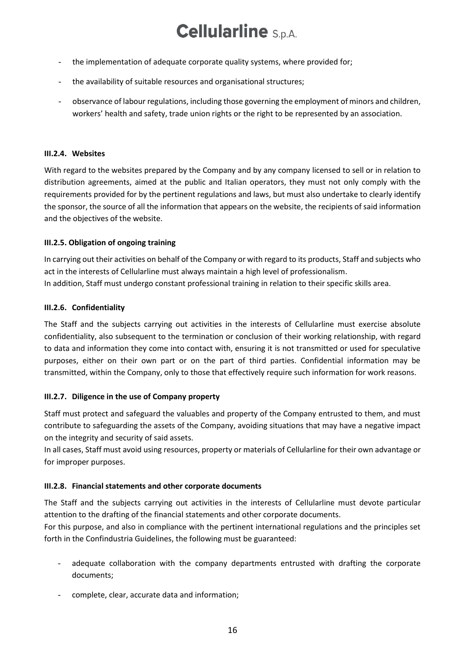- the implementation of adequate corporate quality systems, where provided for;
- the availability of suitable resources and organisational structures;
- observance of labour regulations, including those governing the employment of minors and children, workers' health and safety, trade union rights or the right to be represented by an association.

#### **III.2.4. Websites**

With regard to the websites prepared by the Company and by any company licensed to sell or in relation to distribution agreements, aimed at the public and Italian operators, they must not only comply with the requirements provided for by the pertinent regulations and laws, but must also undertake to clearly identify the sponsor, the source of all the information that appears on the website, the recipients of said information and the objectives of the website.

#### **III.2.5. Obligation of ongoing training**

In carrying out their activities on behalf of the Company or with regard to its products, Staff and subjects who act in the interests of Cellularline must always maintain a high level of professionalism. In addition, Staff must undergo constant professional training in relation to their specific skills area.

#### **III.2.6. Confidentiality**

The Staff and the subjects carrying out activities in the interests of Cellularline must exercise absolute confidentiality, also subsequent to the termination or conclusion of their working relationship, with regard to data and information they come into contact with, ensuring it is not transmitted or used for speculative purposes, either on their own part or on the part of third parties. Confidential information may be transmitted, within the Company, only to those that effectively require such information for work reasons.

#### **III.2.7. Diligence in the use of Company property**

Staff must protect and safeguard the valuables and property of the Company entrusted to them, and must contribute to safeguarding the assets of the Company, avoiding situations that may have a negative impact on the integrity and security of said assets.

In all cases, Staff must avoid using resources, property or materials of Cellularline for their own advantage or for improper purposes.

#### **III.2.8. Financial statements and other corporate documents**

The Staff and the subjects carrying out activities in the interests of Cellularline must devote particular attention to the drafting of the financial statements and other corporate documents.

For this purpose, and also in compliance with the pertinent international regulations and the principles set forth in the Confindustria Guidelines, the following must be guaranteed:

- adequate collaboration with the company departments entrusted with drafting the corporate documents;
- complete, clear, accurate data and information;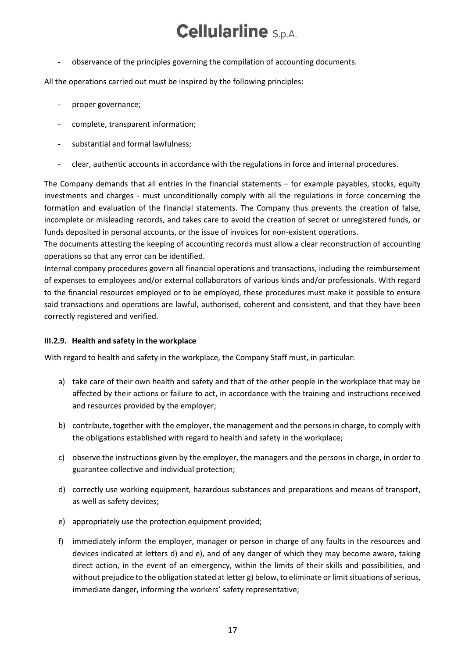- observance of the principles governing the compilation of accounting documents.

All the operations carried out must be inspired by the following principles:

- proper governance;
- complete, transparent information;
- substantial and formal lawfulness;
- clear, authentic accounts in accordance with the regulations in force and internal procedures.

The Company demands that all entries in the financial statements – for example payables, stocks, equity investments and charges - must unconditionally comply with all the regulations in force concerning the formation and evaluation of the financial statements. The Company thus prevents the creation of false, incomplete or misleading records, and takes care to avoid the creation of secret or unregistered funds, or funds deposited in personal accounts, or the issue of invoices for non-existent operations.

The documents attesting the keeping of accounting records must allow a clear reconstruction of accounting operations so that any error can be identified.

Internal company procedures govern all financial operations and transactions, including the reimbursement of expenses to employees and/or external collaborators of various kinds and/or professionals. With regard to the financial resources employed or to be employed, these procedures must make it possible to ensure said transactions and operations are lawful, authorised, coherent and consistent, and that they have been correctly registered and verified.

#### **III.2.9. Health and safety in the workplace**

With regard to health and safety in the workplace, the Company Staff must, in particular:

- a) take care of their own health and safety and that of the other people in the workplace that may be affected by their actions or failure to act, in accordance with the training and instructions received and resources provided by the employer;
- b) contribute, together with the employer, the management and the persons in charge, to comply with the obligations established with regard to health and safety in the workplace;
- c) observe the instructions given by the employer, the managers and the persons in charge, in order to guarantee collective and individual protection;
- d) correctly use working equipment, hazardous substances and preparations and means of transport, as well as safety devices;
- e) appropriately use the protection equipment provided;
- f) immediately inform the employer, manager or person in charge of any faults in the resources and devices indicated at letters d) and e), and of any danger of which they may become aware, taking direct action, in the event of an emergency, within the limits of their skills and possibilities, and without prejudice to the obligation stated at letter g) below, to eliminate or limit situations of serious, immediate danger, informing the workers' safety representative;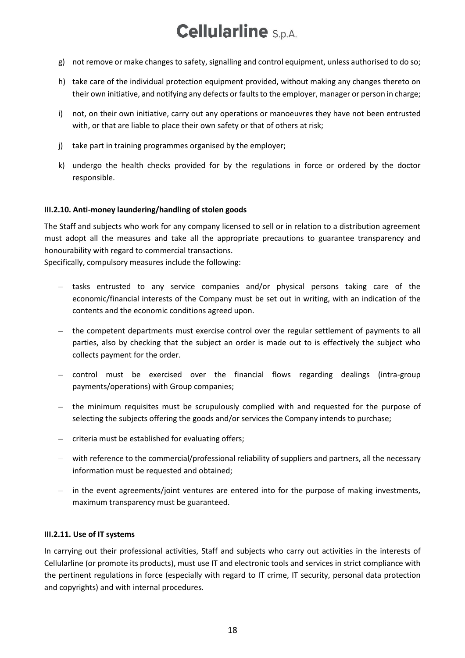- g) not remove or make changes to safety, signalling and control equipment, unless authorised to do so;
- h) take care of the individual protection equipment provided, without making any changes thereto on their own initiative, and notifying any defects or faults to the employer, manager or person in charge;
- i) not, on their own initiative, carry out any operations or manoeuvres they have not been entrusted with, or that are liable to place their own safety or that of others at risk;
- j) take part in training programmes organised by the employer;
- k) undergo the health checks provided for by the regulations in force or ordered by the doctor responsible.

#### **III.2.10. Anti-money laundering/handling of stolen goods**

The Staff and subjects who work for any company licensed to sell or in relation to a distribution agreement must adopt all the measures and take all the appropriate precautions to guarantee transparency and honourability with regard to commercial transactions.

Specifically, compulsory measures include the following:

- tasks entrusted to any service companies and/or physical persons taking care of the economic/financial interests of the Company must be set out in writing, with an indication of the contents and the economic conditions agreed upon.
- the competent departments must exercise control over the regular settlement of payments to all parties, also by checking that the subject an order is made out to is effectively the subject who collects payment for the order.
- control must be exercised over the financial flows regarding dealings (intra-group payments/operations) with Group companies;
- the minimum requisites must be scrupulously complied with and requested for the purpose of selecting the subjects offering the goods and/or services the Company intends to purchase;
- criteria must be established for evaluating offers;
- with reference to the commercial/professional reliability of suppliers and partners, all the necessary information must be requested and obtained;
- in the event agreements/joint ventures are entered into for the purpose of making investments, maximum transparency must be guaranteed.

#### **III.2.11. Use of IT systems**

In carrying out their professional activities, Staff and subjects who carry out activities in the interests of Cellularline (or promote its products), must use IT and electronic tools and services in strict compliance with the pertinent regulations in force (especially with regard to IT crime, IT security, personal data protection and copyrights) and with internal procedures.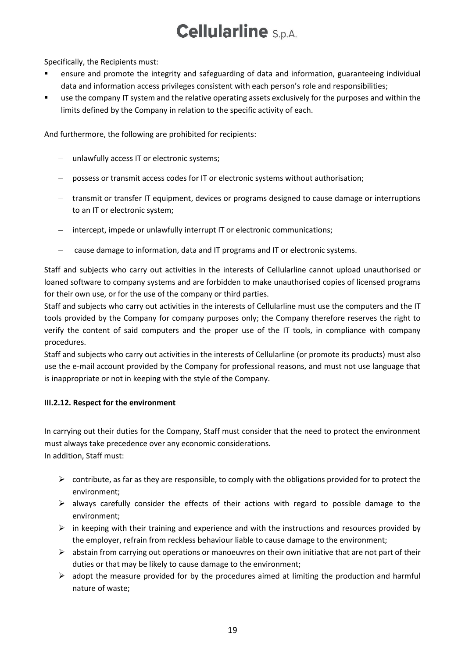Specifically, the Recipients must:

- ensure and promote the integrity and safeguarding of data and information, guaranteeing individual data and information access privileges consistent with each person's role and responsibilities;
- use the company IT system and the relative operating assets exclusively for the purposes and within the limits defined by the Company in relation to the specific activity of each.

And furthermore, the following are prohibited for recipients:

- unlawfully access IT or electronic systems;
- possess or transmit access codes for IT or electronic systems without authorisation;
- transmit or transfer IT equipment, devices or programs designed to cause damage or interruptions to an IT or electronic system;
- intercept, impede or unlawfully interrupt IT or electronic communications;
- cause damage to information, data and IT programs and IT or electronic systems.

Staff and subjects who carry out activities in the interests of Cellularline cannot upload unauthorised or loaned software to company systems and are forbidden to make unauthorised copies of licensed programs for their own use, or for the use of the company or third parties.

Staff and subjects who carry out activities in the interests of Cellularline must use the computers and the IT tools provided by the Company for company purposes only; the Company therefore reserves the right to verify the content of said computers and the proper use of the IT tools, in compliance with company procedures.

Staff and subjects who carry out activities in the interests of Cellularline (or promote its products) must also use the e-mail account provided by the Company for professional reasons, and must not use language that is inappropriate or not in keeping with the style of the Company.

#### **III.2.12. Respect for the environment**

In carrying out their duties for the Company, Staff must consider that the need to protect the environment must always take precedence over any economic considerations. In addition, Staff must:

- $\triangleright$  contribute, as far as they are responsible, to comply with the obligations provided for to protect the environment;
- ➢ always carefully consider the effects of their actions with regard to possible damage to the environment;
- $\triangleright$  in keeping with their training and experience and with the instructions and resources provided by the employer, refrain from reckless behaviour liable to cause damage to the environment;
- $\triangleright$  abstain from carrying out operations or manoeuvres on their own initiative that are not part of their duties or that may be likely to cause damage to the environment;
- $\triangleright$  adopt the measure provided for by the procedures aimed at limiting the production and harmful nature of waste;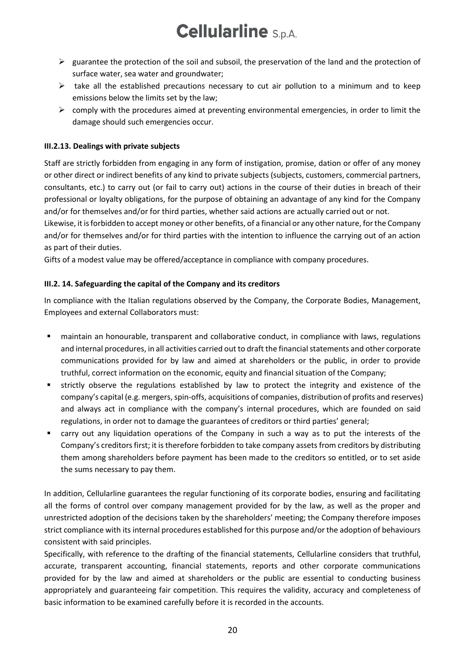- $\triangleright$  guarantee the protection of the soil and subsoil, the preservation of the land and the protection of surface water, sea water and groundwater;
- ➢ take all the established precautions necessary to cut air pollution to a minimum and to keep emissions below the limits set by the law;
- $\triangleright$  comply with the procedures aimed at preventing environmental emergencies, in order to limit the damage should such emergencies occur.

### **III.2.13. Dealings with private subjects**

Staff are strictly forbidden from engaging in any form of instigation, promise, dation or offer of any money or other direct or indirect benefits of any kind to private subjects (subjects, customers, commercial partners, consultants, etc.) to carry out (or fail to carry out) actions in the course of their duties in breach of their professional or loyalty obligations, for the purpose of obtaining an advantage of any kind for the Company and/or for themselves and/or for third parties, whether said actions are actually carried out or not.

Likewise, it is forbidden to accept money or other benefits, of a financial or any other nature, for the Company and/or for themselves and/or for third parties with the intention to influence the carrying out of an action as part of their duties.

Gifts of a modest value may be offered/acceptance in compliance with company procedures.

#### **III.2. 14. Safeguarding the capital of the Company and its creditors**

In compliance with the Italian regulations observed by the Company, the Corporate Bodies, Management, Employees and external Collaborators must:

- maintain an honourable, transparent and collaborative conduct, in compliance with laws, regulations and internal procedures, in all activities carried out to draft the financial statements and other corporate communications provided for by law and aimed at shareholders or the public, in order to provide truthful, correct information on the economic, equity and financial situation of the Company;
- strictly observe the regulations established by law to protect the integrity and existence of the company's capital (e.g. mergers, spin-offs, acquisitions of companies, distribution of profits and reserves) and always act in compliance with the company's internal procedures, which are founded on said regulations, in order not to damage the guarantees of creditors or third parties' general;
- carry out any liquidation operations of the Company in such a way as to put the interests of the Company's creditors first; it is therefore forbidden to take company assets from creditors by distributing them among shareholders before payment has been made to the creditors so entitled, or to set aside the sums necessary to pay them.

In addition, Cellularline guarantees the regular functioning of its corporate bodies, ensuring and facilitating all the forms of control over company management provided for by the law, as well as the proper and unrestricted adoption of the decisions taken by the shareholders' meeting; the Company therefore imposes strict compliance with its internal procedures established for this purpose and/or the adoption of behaviours consistent with said principles.

Specifically, with reference to the drafting of the financial statements, Cellularline considers that truthful, accurate, transparent accounting, financial statements, reports and other corporate communications provided for by the law and aimed at shareholders or the public are essential to conducting business appropriately and guaranteeing fair competition. This requires the validity, accuracy and completeness of basic information to be examined carefully before it is recorded in the accounts.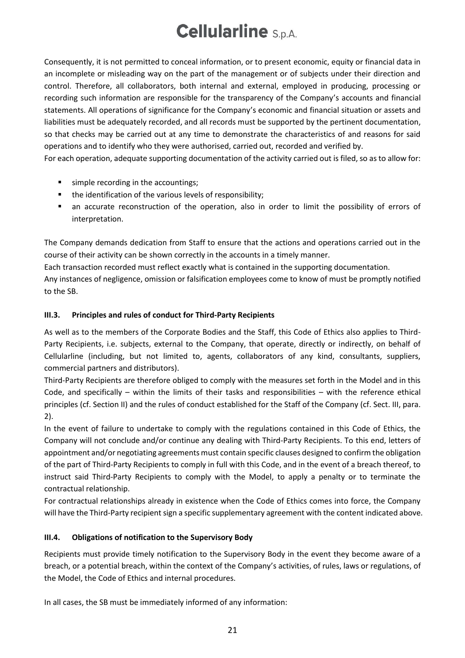Consequently, it is not permitted to conceal information, or to present economic, equity or financial data in an incomplete or misleading way on the part of the management or of subjects under their direction and control. Therefore, all collaborators, both internal and external, employed in producing, processing or recording such information are responsible for the transparency of the Company's accounts and financial statements. All operations of significance for the Company's economic and financial situation or assets and liabilities must be adequately recorded, and all records must be supported by the pertinent documentation, so that checks may be carried out at any time to demonstrate the characteristics of and reasons for said operations and to identify who they were authorised, carried out, recorded and verified by.

For each operation, adequate supporting documentation of the activity carried out is filed, so as to allow for:

- simple recording in the accountings;
- the identification of the various levels of responsibility;
- an accurate reconstruction of the operation, also in order to limit the possibility of errors of interpretation.

The Company demands dedication from Staff to ensure that the actions and operations carried out in the course of their activity can be shown correctly in the accounts in a timely manner.

Each transaction recorded must reflect exactly what is contained in the supporting documentation.

Any instances of negligence, omission or falsification employees come to know of must be promptly notified to the SB.

### **III.3. Principles and rules of conduct for Third-Party Recipients**

As well as to the members of the Corporate Bodies and the Staff, this Code of Ethics also applies to Third-Party Recipients, i.e. subjects, external to the Company, that operate, directly or indirectly, on behalf of Cellularline (including, but not limited to, agents, collaborators of any kind, consultants, suppliers, commercial partners and distributors).

Third-Party Recipients are therefore obliged to comply with the measures set forth in the Model and in this Code, and specifically – within the limits of their tasks and responsibilities – with the reference ethical principles (cf. Section II) and the rules of conduct established for the Staff of the Company (cf. Sect. III, para. 2).

In the event of failure to undertake to comply with the regulations contained in this Code of Ethics, the Company will not conclude and/or continue any dealing with Third-Party Recipients. To this end, letters of appointment and/or negotiating agreements must contain specific clauses designed to confirm the obligation of the part of Third-Party Recipients to comply in full with this Code, and in the event of a breach thereof, to instruct said Third-Party Recipients to comply with the Model, to apply a penalty or to terminate the contractual relationship.

For contractual relationships already in existence when the Code of Ethics comes into force, the Company will have the Third-Party recipient sign a specific supplementary agreement with the content indicated above.

### **III.4. Obligations of notification to the Supervisory Body**

Recipients must provide timely notification to the Supervisory Body in the event they become aware of a breach, or a potential breach, within the context of the Company's activities, of rules, laws or regulations, of the Model, the Code of Ethics and internal procedures.

In all cases, the SB must be immediately informed of any information: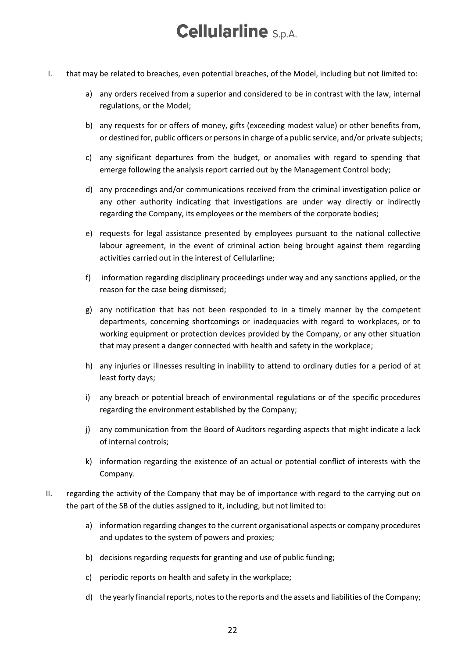- I. that may be related to breaches, even potential breaches, of the Model, including but not limited to:
	- a) any orders received from a superior and considered to be in contrast with the law, internal regulations, or the Model;
	- b) any requests for or offers of money, gifts (exceeding modest value) or other benefits from, or destined for, public officers or persons in charge of a public service, and/or private subjects;
	- c) any significant departures from the budget, or anomalies with regard to spending that emerge following the analysis report carried out by the Management Control body;
	- d) any proceedings and/or communications received from the criminal investigation police or any other authority indicating that investigations are under way directly or indirectly regarding the Company, its employees or the members of the corporate bodies;
	- e) requests for legal assistance presented by employees pursuant to the national collective labour agreement, in the event of criminal action being brought against them regarding activities carried out in the interest of Cellularline;
	- f) information regarding disciplinary proceedings under way and any sanctions applied, or the reason for the case being dismissed;
	- g) any notification that has not been responded to in a timely manner by the competent departments, concerning shortcomings or inadequacies with regard to workplaces, or to working equipment or protection devices provided by the Company, or any other situation that may present a danger connected with health and safety in the workplace;
	- h) any injuries or illnesses resulting in inability to attend to ordinary duties for a period of at least forty days;
	- i) any breach or potential breach of environmental regulations or of the specific procedures regarding the environment established by the Company;
	- j) any communication from the Board of Auditors regarding aspects that might indicate a lack of internal controls;
	- k) information regarding the existence of an actual or potential conflict of interests with the Company.
- II. regarding the activity of the Company that may be of importance with regard to the carrying out on the part of the SB of the duties assigned to it, including, but not limited to:
	- a) information regarding changes to the current organisational aspects or company procedures and updates to the system of powers and proxies;
	- b) decisions regarding requests for granting and use of public funding;
	- c) periodic reports on health and safety in the workplace;
	- d) the yearly financial reports, notes to the reports and the assets and liabilities of the Company;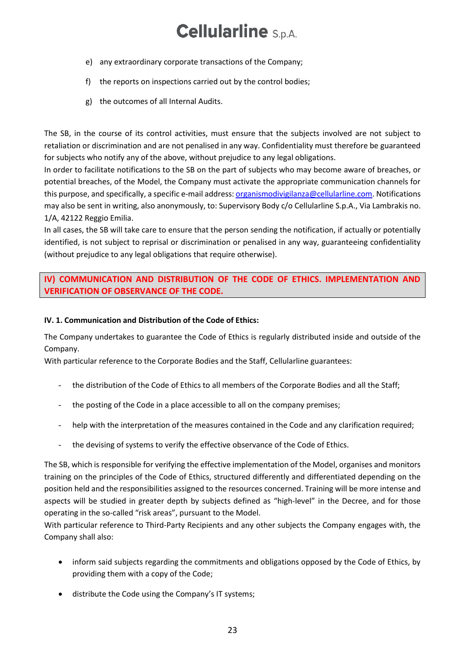- e) any extraordinary corporate transactions of the Company;
- f) the reports on inspections carried out by the control bodies;
- g) the outcomes of all Internal Audits.

The SB, in the course of its control activities, must ensure that the subjects involved are not subject to retaliation or discrimination and are not penalised in any way. Confidentiality must therefore be guaranteed for subjects who notify any of the above, without prejudice to any legal obligations.

In order to facilitate notifications to the SB on the part of subjects who may become aware of breaches, or potential breaches, of the Model, the Company must activate the appropriate communication channels for this purpose, and specifically, a specific e-mail address[: organismodivigilanza@cellularline.com.](mailto:organismodivigilanza@cellularline.com) Notifications may also be sent in writing, also anonymously, to: Supervisory Body c/o Cellularline S.p.A., Via Lambrakis no. 1/A, 42122 Reggio Emilia.

In all cases, the SB will take care to ensure that the person sending the notification, if actually or potentially identified, is not subject to reprisal or discrimination or penalised in any way, guaranteeing confidentiality (without prejudice to any legal obligations that require otherwise).

### <span id="page-22-0"></span>**IV) COMMUNICATION AND DISTRIBUTION OF THE CODE OF ETHICS. IMPLEMENTATION AND VERIFICATION OF OBSERVANCE OF THE CODE.**

### **IV. 1. Communication and Distribution of the Code of Ethics:**

The Company undertakes to guarantee the Code of Ethics is regularly distributed inside and outside of the Company.

With particular reference to the Corporate Bodies and the Staff, Cellularline guarantees:

- the distribution of the Code of Ethics to all members of the Corporate Bodies and all the Staff;
- the posting of the Code in a place accessible to all on the company premises;
- help with the interpretation of the measures contained in the Code and any clarification required;
- the devising of systems to verify the effective observance of the Code of Ethics.

The SB, which is responsible for verifying the effective implementation of the Model, organises and monitors training on the principles of the Code of Ethics, structured differently and differentiated depending on the position held and the responsibilities assigned to the resources concerned. Training will be more intense and aspects will be studied in greater depth by subjects defined as "high-level" in the Decree, and for those operating in the so-called "risk areas", pursuant to the Model.

With particular reference to Third-Party Recipients and any other subjects the Company engages with, the Company shall also:

- inform said subjects regarding the commitments and obligations opposed by the Code of Ethics, by providing them with a copy of the Code;
- distribute the Code using the Company's IT systems;